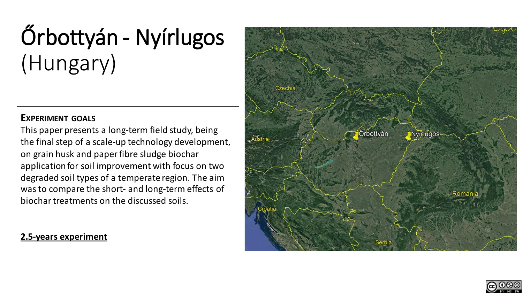# Őrbottyán - Nyírlugos (Hungary)

### **EXPERIMENT GOALS**

This paper presents a long-term field study, being the final step of a scale-up technology development, on grain husk and paper fibre sludge biochar application for soil improvement with focus on two degraded soil types of a temperate region. The aim was to compare the short- and long-term effects of biochar treatments on the discussed soils.

## **2.5-years experiment**



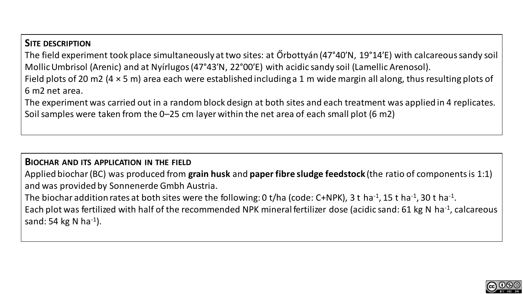## **SITE DESCRIPTION**

The field experiment took place simultaneously at two sites: at Őrbottyán (47°40′N, 19°14′E) with calcareous sandy soil MollicUmbrisol (Arenic) and at Nyírlugos(47°43′N, 22°00′E) with acidic sandy soil (Lamellic Arenosol). Field plots of 20 m2 (4 × 5 m) area each were established including a 1 m wide margin all along, thus resulting plots of 6 m2 net area.

The experiment was carried out in a random block design at both sites and each treatment was applied in 4 replicates. Soil samples were taken from the 0–25 cm layer within the net area of each small plot (6 m2)

#### **BIOCHAR AND ITS APPLICATION IN THE FIELD**

Applied biochar (BC) was produced from **grain husk** and **paper fibre sludge feedstock** (the ratio of components is 1:1) and was provided by Sonnenerde Gmbh Austria.

The biochar addition rates at both sites were the following: 0 t/ha (code: C+NPK), 3 t ha<sup>-1</sup>, 15 t ha<sup>-1</sup>, 30 t ha<sup>-1</sup>.

Each plot was fertilized with half of the recommended NPK mineral fertilizer dose (acidic sand: 61 kg N ha<sup>-1</sup>, calcareous sand: 54 kg N ha<sup>-1</sup>).

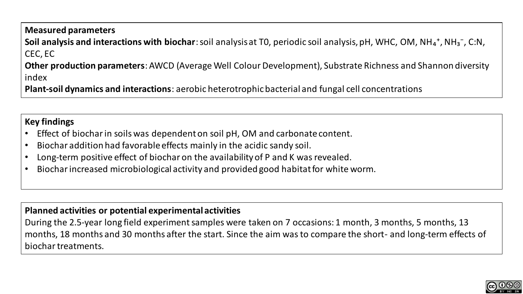## **Measured parameters Soil analysis and interactions with biochar**: soil analysis at T0, periodic soil analysis, pH, WHC, OM, NH<sub>4</sub><sup>+</sup>, NH<sub>3</sub><sup>-</sup>, C:N, CEC, EC **Other production parameters**: AWCD (Average Well Colour Development), Substrate Richness and Shannon diversity index

**Plant-soil dynamics and interactions**: aerobic heterotrophic bacterial and fungal cell concentrations

## **Key findings**

- Effect of biochar in soils was dependent on soil pH, OM and carbonate content.
- Biochar addition had favorable effects mainly in the acidic sandy soil.
- Long-term positive effect of biochar on the availability of P and K was revealed.
- Biochar increased microbiological activity and provided good habitat for white worm.

## **Planned activities or potential experimental activities**

During the 2.5-year long field experiment samples were taken on 7 occasions: 1 month, 3 months, 5 months, 13 months, 18 months and 30 months after the start. Since the aim was to compare the short- and long-term effects of biochar treatments.